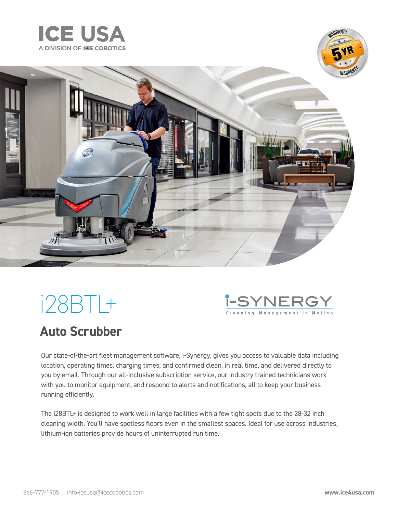





# i28BTL+



### **Auto Scrubber**

Our state-of-the-art fleet management software, i-Synergy, gives you access to valuable data including location, operating times, charging times, and confirmed clean, in real time, and delivered directly to you by email. Through our all-inclusive subscription service, our industry trained technicians work with you to monitor equipment, and respond to alerts and notifications, all to keep your business running efficiently.

The i28BTL+ is designed to work well in large facilities with a few tight spots due to the 28-32 inch cleaning width. You'll have spotless floors even in the smallest spaces. Ideal for use across industries, lithium-ion batteries provide hours of uninterrupted run time.